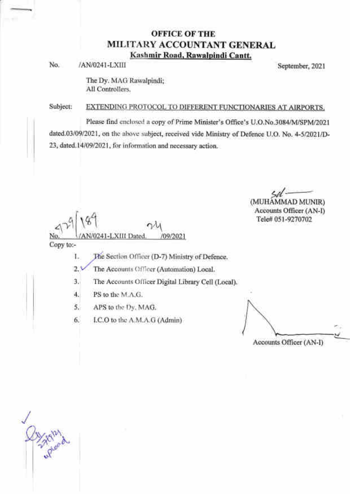## OFFICE OF THE MILITARY ACCOUNTANT GENERAL Kashmir Road. Rawalpindi Cantt.

No. /AN/0241-LXIII September, 2021

The Dy. MAG Rawalpindi; All Controllers.

#### Subject: EXTENDING PROTOCOL TO DIFFERENT FUNCTIONARIES AT AIRPORTS.

Please find cncloscd a copy of Prime Minister's Office's U.O.No.3084/M/SPM/2021 dated.03/09/2021, on the above subject, received vide Ministry of Defence U.O. No. 4-5/2021/D-23, dated.14/09/2021, for information and necessary action.

J 9//'- (MUHAMMAD MLINIR) Accounts Officer (AN-I) Tele# 051-9270702

 $\left[ \frac{1}{2} \right]$  /87 a& No. /09/2021

Copy to:-

The Section Officer (D-7) Ministry of Defence. 1.

The Accounts Officer (Automation) Local. )

 $3.1$ The Accounts Oilicer Digital Library Cell (Local).

PS to the M.A.G. 4.

APS to thc Dy. MAG. 5.

I.C.O to the A.M.A.G (Admin) 6.

Accounts Officer (AN-I)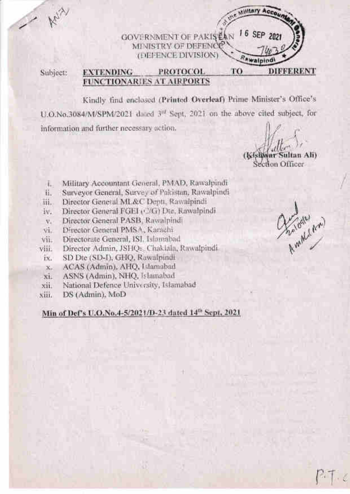**GOVERNMENT OF PAKIS EAN** MI VISTRY OF DEFENCE (DEFENCE DIVISION)

Subject:

#### TO **PROTOCOL DIFFERENT EXTENDING FUNCTIONARIES AT AIRPORTS**

Kindly find enclosed (Printed Overleaf) Prime Minister's Office's U.O.No.3084/M/SPM/2021 dated 3<sup>of</sup> Sept. 2021 on the above cited subject, for information and further necessary action.

ultan Ali) tion Officer

Military Acco

16 SEP 2021

Awaiping

- Military Accountant General, PMAD, Rawsfpindi 注.
- Surveyor General, Survey of Pakistan, Rawalpindi 石.
- Director General ML&C Depti, Rawalpindi 甫.
- Director General FGEI (Cr) Dtc, Rawalpindi iv.
- Director General PASB, Rawalpindi  $\nabla_{\mathbf{x}}$
- Director General PMSA, Karachi vi.
- Directorate General, ISI. Islamabad vii.
- Director Admin, JSHQs. Chaklala, Rawalpindi, viii
- SD Dte (SD-I), GHQ, Rawalpindi ix.
- ACAS (Admin), AHQ, Islamabad  $X_{n}$
- ASNS (Admin), NHQ, Islamabad  $xi$
- National Defence University, Islamabad xii.
- DS (Admin), MoD xiii.

# Min of Def's U.O.No.4-5/2021/D-23 dated 14th Sept. 2021